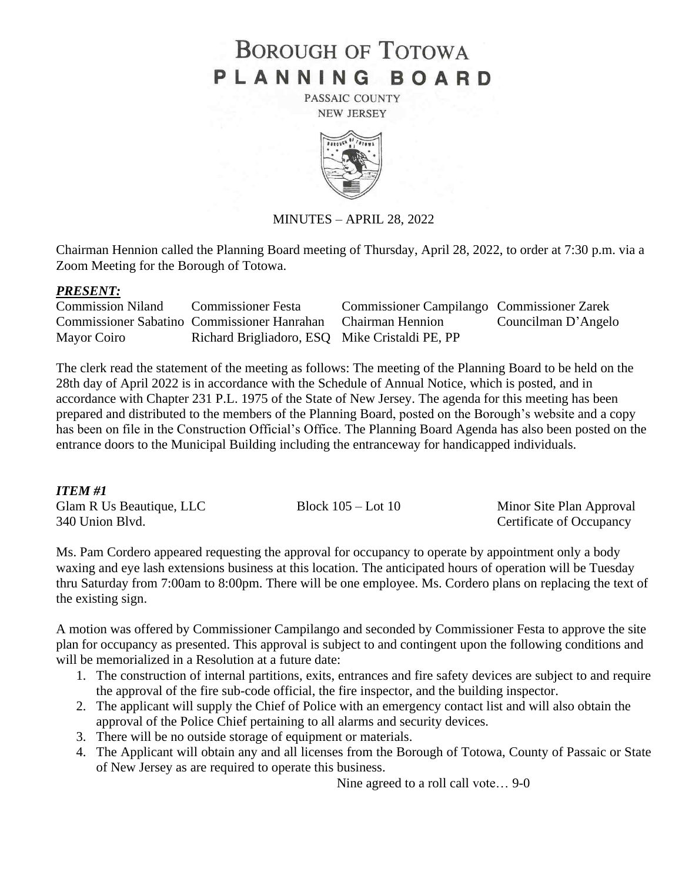# **BOROUGH OF TOTOWA** PLANNING BOARD

PASSAIC COUNTY **NEW JERSEY** 



MINUTES – APRIL 28, 2022

Chairman Hennion called the Planning Board meeting of Thursday, April 28, 2022, to order at 7:30 p.m. via a Zoom Meeting for the Borough of Totowa.

#### *PRESENT:*

| <b>Commission Niland</b> | <b>Commissioner Festa</b>                                    | <b>Commissioner Campilango Commissioner Zarek</b> |                     |
|--------------------------|--------------------------------------------------------------|---------------------------------------------------|---------------------|
|                          | Commissioner Sabatino Commissioner Hanrahan Chairman Hennion |                                                   | Councilman D'Angelo |
| Mayor Coiro              | Richard Brigliadoro, ESQ Mike Cristaldi PE, PP               |                                                   |                     |

The clerk read the statement of the meeting as follows: The meeting of the Planning Board to be held on the 28th day of April 2022 is in accordance with the Schedule of Annual Notice, which is posted, and in accordance with Chapter 231 P.L. 1975 of the State of New Jersey. The agenda for this meeting has been prepared and distributed to the members of the Planning Board, posted on the Borough's website and a copy has been on file in the Construction Official's Office. The Planning Board Agenda has also been posted on the entrance doors to the Municipal Building including the entranceway for handicapped individuals.

#### *ITEM #1*

| Glam R Us Beautique, LLC | Block $105 -$ Lot $10$ | Minor Site Plan Approval |
|--------------------------|------------------------|--------------------------|
| 340 Union Blvd.          |                        | Certificate of Occupancy |

Ms. Pam Cordero appeared requesting the approval for occupancy to operate by appointment only a body waxing and eye lash extensions business at this location. The anticipated hours of operation will be Tuesday thru Saturday from 7:00am to 8:00pm. There will be one employee. Ms. Cordero plans on replacing the text of the existing sign.

A motion was offered by Commissioner Campilango and seconded by Commissioner Festa to approve the site plan for occupancy as presented. This approval is subject to and contingent upon the following conditions and will be memorialized in a Resolution at a future date:

- 1. The construction of internal partitions, exits, entrances and fire safety devices are subject to and require the approval of the fire sub-code official, the fire inspector, and the building inspector.
- 2. The applicant will supply the Chief of Police with an emergency contact list and will also obtain the approval of the Police Chief pertaining to all alarms and security devices.
- 3. There will be no outside storage of equipment or materials.
- 4. The Applicant will obtain any and all licenses from the Borough of Totowa, County of Passaic or State of New Jersey as are required to operate this business.

Nine agreed to a roll call vote… 9-0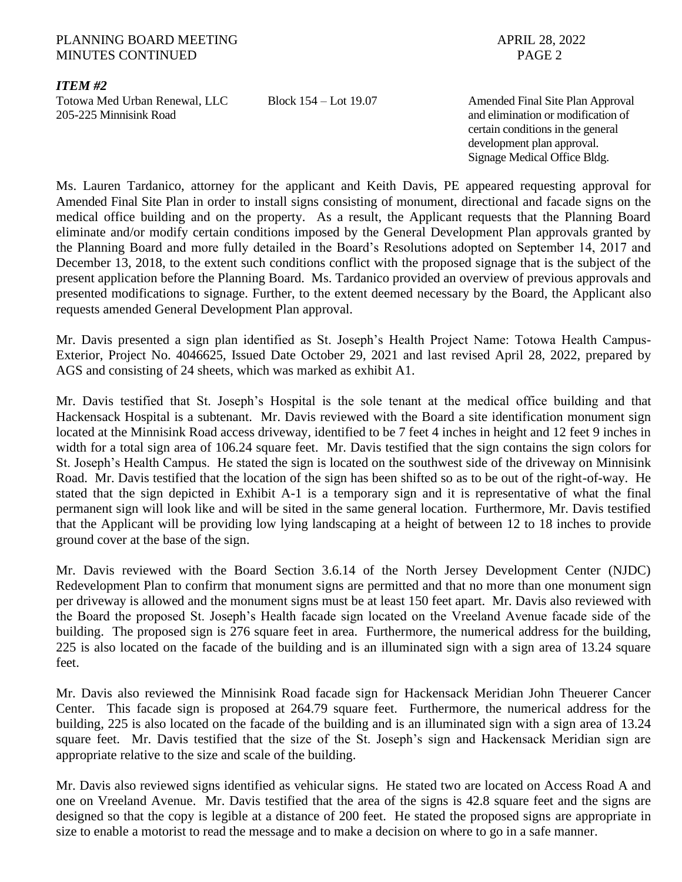#### PLANNING BOARD MEETING APRIL 28, 2022 MINUTES CONTINUED **PAGE 2**

## *ITEM #2*

Totowa Med Urban Renewal, LLC Block 154 – Lot 19.07 Amended Final Site Plan Approval 205-225 Minnisink Road and elimination or modification of

certain conditions in the general development plan approval. Signage Medical Office Bldg.

Ms. Lauren Tardanico, attorney for the applicant and Keith Davis, PE appeared requesting approval for Amended Final Site Plan in order to install signs consisting of monument, directional and facade signs on the medical office building and on the property. As a result, the Applicant requests that the Planning Board eliminate and/or modify certain conditions imposed by the General Development Plan approvals granted by the Planning Board and more fully detailed in the Board's Resolutions adopted on September 14, 2017 and December 13, 2018, to the extent such conditions conflict with the proposed signage that is the subject of the present application before the Planning Board. Ms. Tardanico provided an overview of previous approvals and presented modifications to signage. Further, to the extent deemed necessary by the Board, the Applicant also requests amended General Development Plan approval.

Mr. Davis presented a sign plan identified as St. Joseph's Health Project Name: Totowa Health Campus-Exterior, Project No. 4046625, Issued Date October 29, 2021 and last revised April 28, 2022, prepared by AGS and consisting of 24 sheets, which was marked as exhibit A1.

Mr. Davis testified that St. Joseph's Hospital is the sole tenant at the medical office building and that Hackensack Hospital is a subtenant. Mr. Davis reviewed with the Board a site identification monument sign located at the Minnisink Road access driveway, identified to be 7 feet 4 inches in height and 12 feet 9 inches in width for a total sign area of 106.24 square feet. Mr. Davis testified that the sign contains the sign colors for St. Joseph's Health Campus. He stated the sign is located on the southwest side of the driveway on Minnisink Road. Mr. Davis testified that the location of the sign has been shifted so as to be out of the right-of-way. He stated that the sign depicted in Exhibit A-1 is a temporary sign and it is representative of what the final permanent sign will look like and will be sited in the same general location. Furthermore, Mr. Davis testified that the Applicant will be providing low lying landscaping at a height of between 12 to 18 inches to provide ground cover at the base of the sign.

Mr. Davis reviewed with the Board Section 3.6.14 of the North Jersey Development Center (NJDC) Redevelopment Plan to confirm that monument signs are permitted and that no more than one monument sign per driveway is allowed and the monument signs must be at least 150 feet apart. Mr. Davis also reviewed with the Board the proposed St. Joseph's Health facade sign located on the Vreeland Avenue facade side of the building. The proposed sign is 276 square feet in area. Furthermore, the numerical address for the building, 225 is also located on the facade of the building and is an illuminated sign with a sign area of 13.24 square feet.

Mr. Davis also reviewed the Minnisink Road facade sign for Hackensack Meridian John Theuerer Cancer Center. This facade sign is proposed at 264.79 square feet. Furthermore, the numerical address for the building, 225 is also located on the facade of the building and is an illuminated sign with a sign area of 13.24 square feet. Mr. Davis testified that the size of the St. Joseph's sign and Hackensack Meridian sign are appropriate relative to the size and scale of the building.

Mr. Davis also reviewed signs identified as vehicular signs. He stated two are located on Access Road A and one on Vreeland Avenue. Mr. Davis testified that the area of the signs is 42.8 square feet and the signs are designed so that the copy is legible at a distance of 200 feet. He stated the proposed signs are appropriate in size to enable a motorist to read the message and to make a decision on where to go in a safe manner.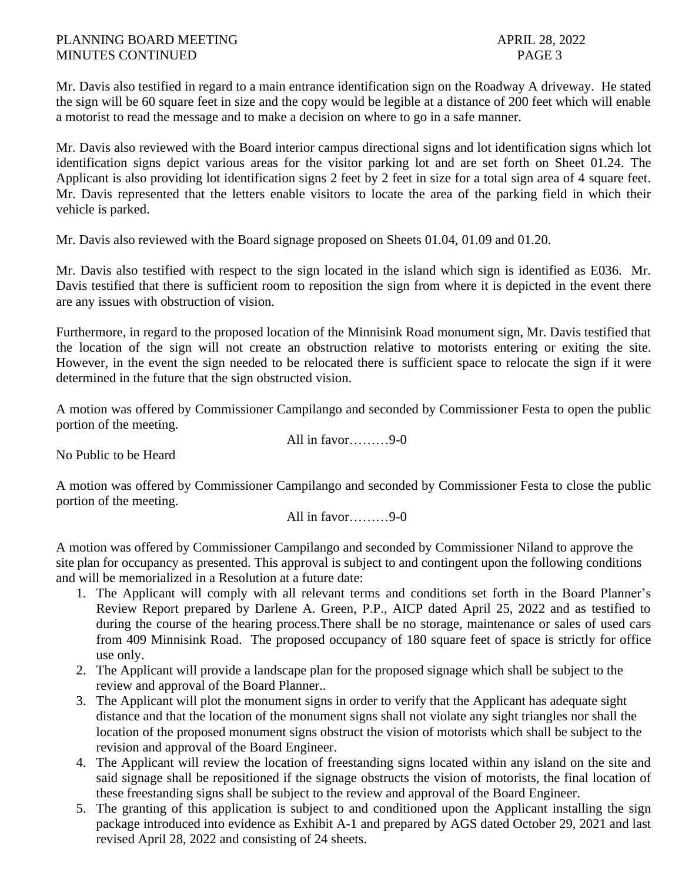Mr. Davis also testified in regard to a main entrance identification sign on the Roadway A driveway. He stated the sign will be 60 square feet in size and the copy would be legible at a distance of 200 feet which will enable a motorist to read the message and to make a decision on where to go in a safe manner.

Mr. Davis also reviewed with the Board interior campus directional signs and lot identification signs which lot identification signs depict various areas for the visitor parking lot and are set forth on Sheet 01.24. The Applicant is also providing lot identification signs 2 feet by 2 feet in size for a total sign area of 4 square feet. Mr. Davis represented that the letters enable visitors to locate the area of the parking field in which their vehicle is parked.

Mr. Davis also reviewed with the Board signage proposed on Sheets 01.04, 01.09 and 01.20.

Mr. Davis also testified with respect to the sign located in the island which sign is identified as E036. Mr. Davis testified that there is sufficient room to reposition the sign from where it is depicted in the event there are any issues with obstruction of vision.

Furthermore, in regard to the proposed location of the Minnisink Road monument sign, Mr. Davis testified that the location of the sign will not create an obstruction relative to motorists entering or exiting the site. However, in the event the sign needed to be relocated there is sufficient space to relocate the sign if it were determined in the future that the sign obstructed vision.

A motion was offered by Commissioner Campilango and seconded by Commissioner Festa to open the public portion of the meeting.

All in favor………9-0

No Public to be Heard

A motion was offered by Commissioner Campilango and seconded by Commissioner Festa to close the public portion of the meeting.

All in favor… $9-0$ 

A motion was offered by Commissioner Campilango and seconded by Commissioner Niland to approve the site plan for occupancy as presented. This approval is subject to and contingent upon the following conditions and will be memorialized in a Resolution at a future date:

- 1. The Applicant will comply with all relevant terms and conditions set forth in the Board Planner's Review Report prepared by Darlene A. Green, P.P., AICP dated April 25, 2022 and as testified to during the course of the hearing process.There shall be no storage, maintenance or sales of used cars from 409 Minnisink Road. The proposed occupancy of 180 square feet of space is strictly for office use only.
- 2. The Applicant will provide a landscape plan for the proposed signage which shall be subject to the review and approval of the Board Planner..
- 3. The Applicant will plot the monument signs in order to verify that the Applicant has adequate sight distance and that the location of the monument signs shall not violate any sight triangles nor shall the location of the proposed monument signs obstruct the vision of motorists which shall be subject to the revision and approval of the Board Engineer.
- 4. The Applicant will review the location of freestanding signs located within any island on the site and said signage shall be repositioned if the signage obstructs the vision of motorists, the final location of these freestanding signs shall be subject to the review and approval of the Board Engineer.
- 5. The granting of this application is subject to and conditioned upon the Applicant installing the sign package introduced into evidence as Exhibit A-1 and prepared by AGS dated October 29, 2021 and last revised April 28, 2022 and consisting of 24 sheets.